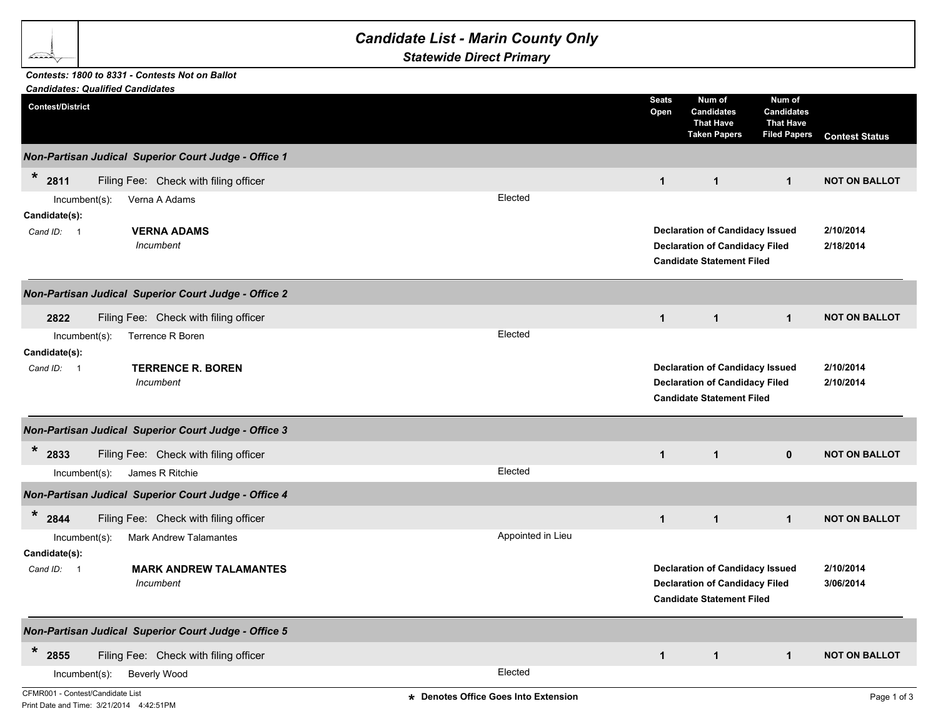## *Candidate List - Marin County Only*

*Statewide Direct Primary*

## *Contests: 1800 to 8331 - Contests Not on Ballot*

b Sandar

| <b>Candidates: Qualified Candidates</b> |                                                      |                                      |                      |                                                                                 |                                                                        |                        |
|-----------------------------------------|------------------------------------------------------|--------------------------------------|----------------------|---------------------------------------------------------------------------------|------------------------------------------------------------------------|------------------------|
| <b>Contest/District</b>                 |                                                      |                                      | <b>Seats</b><br>Open | Num of<br><b>Candidates</b><br><b>That Have</b><br><b>Taken Papers</b>          | Num of<br><b>Candidates</b><br><b>That Have</b><br><b>Filed Papers</b> | <b>Contest Status</b>  |
|                                         | Non-Partisan Judical Superior Court Judge - Office 1 |                                      |                      |                                                                                 |                                                                        |                        |
| $\ast$<br>2811                          | Filing Fee: Check with filing officer                |                                      | $\mathbf{1}$         | $\mathbf{1}$                                                                    | $\overline{1}$                                                         | <b>NOT ON BALLOT</b>   |
| $Incumbent(s)$ :                        | Verna A Adams                                        | Elected                              |                      |                                                                                 |                                                                        |                        |
| Candidate(s):                           |                                                      |                                      |                      |                                                                                 |                                                                        |                        |
| Cand ID: 1                              | <b>VERNA ADAMS</b>                                   |                                      |                      | <b>Declaration of Candidacy Issued</b>                                          |                                                                        | 2/10/2014              |
|                                         | Incumbent                                            |                                      |                      | <b>Declaration of Candidacy Filed</b><br><b>Candidate Statement Filed</b>       |                                                                        | 2/18/2014              |
|                                         | Non-Partisan Judical Superior Court Judge - Office 2 |                                      |                      |                                                                                 |                                                                        |                        |
| 2822                                    | Filing Fee: Check with filing officer                |                                      | $\mathbf{1}$         | $\mathbf{1}$                                                                    | $\mathbf{1}$                                                           | <b>NOT ON BALLOT</b>   |
| Incumbent(s):                           | Terrence R Boren                                     | Elected                              |                      |                                                                                 |                                                                        |                        |
| Candidate(s):                           |                                                      |                                      |                      |                                                                                 |                                                                        |                        |
| Cand ID: 1                              | <b>TERRENCE R. BOREN</b><br>Incumbent                |                                      |                      | <b>Declaration of Candidacy Issued</b><br><b>Declaration of Candidacy Filed</b> |                                                                        | 2/10/2014<br>2/10/2014 |
|                                         |                                                      |                                      |                      | <b>Candidate Statement Filed</b>                                                |                                                                        |                        |
|                                         | Non-Partisan Judical Superior Court Judge - Office 3 |                                      |                      |                                                                                 |                                                                        |                        |
| $\ast$<br>2833                          | Filing Fee: Check with filing officer                |                                      | $\mathbf{1}$         | $\mathbf 1$                                                                     | $\mathbf{0}$                                                           | <b>NOT ON BALLOT</b>   |
| $Incumbent(s)$ :                        | James R Ritchie                                      | Elected                              |                      |                                                                                 |                                                                        |                        |
|                                         | Non-Partisan Judical Superior Court Judge - Office 4 |                                      |                      |                                                                                 |                                                                        |                        |
| $\ast$<br>2844                          | Filing Fee: Check with filing officer                |                                      | $\mathbf{1}$         | $\mathbf{1}$                                                                    | $\mathbf{1}$                                                           | <b>NOT ON BALLOT</b>   |
| $Incumbent(s)$ :                        | <b>Mark Andrew Talamantes</b>                        | Appointed in Lieu                    |                      |                                                                                 |                                                                        |                        |
| Candidate(s):                           |                                                      |                                      |                      |                                                                                 |                                                                        |                        |
| Cand ID: 1                              | <b>MARK ANDREW TALAMANTES</b>                        |                                      |                      | <b>Declaration of Candidacy Issued</b>                                          |                                                                        | 2/10/2014              |
|                                         | Incumbent                                            |                                      |                      | <b>Declaration of Candidacy Filed</b><br><b>Candidate Statement Filed</b>       |                                                                        | 3/06/2014              |
|                                         | Non-Partisan Judical Superior Court Judge - Office 5 |                                      |                      |                                                                                 |                                                                        |                        |
| *<br>2855                               | Filing Fee: Check with filing officer                |                                      | $\mathbf{1}$         | $\mathbf{1}$                                                                    | $\mathbf{1}$                                                           | <b>NOT ON BALLOT</b>   |
| Incumbent(s):                           | <b>Beverly Wood</b>                                  | Elected                              |                      |                                                                                 |                                                                        |                        |
| CFMR001 - Contest/Candidate List        |                                                      | * Denotes Office Goes Into Extension |                      |                                                                                 |                                                                        | Page 1 of 3            |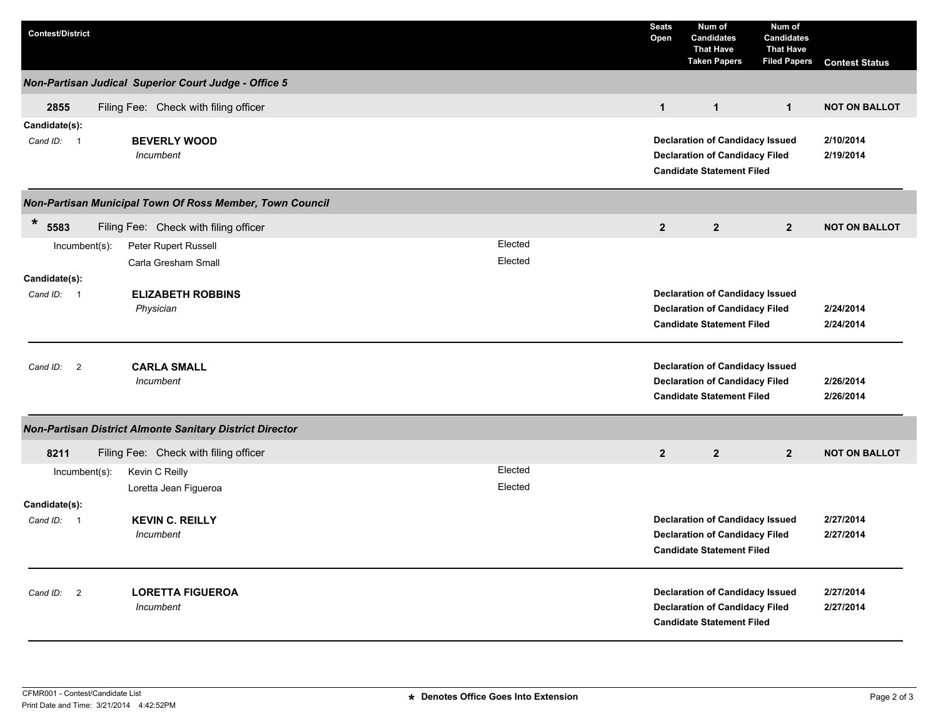| <b>Contest/District</b>                                  |                                                      |  |  |         |  | <b>Seats</b><br>Open | Num of<br><b>Candidates</b><br>That Have<br><b>Taken Papers</b>                                                     | Num of<br><b>Candidates</b><br><b>That Have</b><br><b>Filed Papers</b> | <b>Contest Status</b>  |
|----------------------------------------------------------|------------------------------------------------------|--|--|---------|--|----------------------|---------------------------------------------------------------------------------------------------------------------|------------------------------------------------------------------------|------------------------|
|                                                          | Non-Partisan Judical Superior Court Judge - Office 5 |  |  |         |  |                      |                                                                                                                     |                                                                        |                        |
| 2855                                                     | Filing Fee: Check with filing officer                |  |  |         |  | $\mathbf{1}$         | $\mathbf{1}$                                                                                                        | $\mathbf{1}$                                                           | <b>NOT ON BALLOT</b>   |
| Candidate(s):<br>Cand ID: 1                              | <b>BEVERLY WOOD</b><br>Incumbent                     |  |  |         |  |                      | <b>Declaration of Candidacy Issued</b><br><b>Declaration of Candidacy Filed</b><br><b>Candidate Statement Filed</b> |                                                                        | 2/10/2014<br>2/19/2014 |
| Non-Partisan Municipal Town Of Ross Member, Town Council |                                                      |  |  |         |  |                      |                                                                                                                     |                                                                        |                        |
| $\ast$<br>5583                                           | Filing Fee: Check with filing officer                |  |  |         |  | $\overline{2}$       | $\overline{2}$                                                                                                      | $\overline{2}$                                                         | <b>NOT ON BALLOT</b>   |
| $Incumbent(s)$ :                                         | Peter Rupert Russell                                 |  |  | Elected |  |                      |                                                                                                                     |                                                                        |                        |
|                                                          | Carla Gresham Small                                  |  |  | Elected |  |                      |                                                                                                                     |                                                                        |                        |
| Candidate(s):                                            |                                                      |  |  |         |  |                      |                                                                                                                     |                                                                        |                        |
| Cand ID: 1                                               | <b>ELIZABETH ROBBINS</b><br>Physician                |  |  |         |  |                      | <b>Declaration of Candidacy Issued</b><br><b>Declaration of Candidacy Filed</b>                                     |                                                                        | 2/24/2014              |
|                                                          |                                                      |  |  |         |  |                      | <b>Candidate Statement Filed</b>                                                                                    |                                                                        | 2/24/2014              |
| Cand ID:<br>$\overline{2}$                               | <b>CARLA SMALL</b><br>Incumbent                      |  |  |         |  |                      | <b>Declaration of Candidacy Issued</b><br><b>Declaration of Candidacy Filed</b><br><b>Candidate Statement Filed</b> |                                                                        | 2/26/2014<br>2/26/2014 |
| Non-Partisan District Almonte Sanitary District Director |                                                      |  |  |         |  |                      |                                                                                                                     |                                                                        |                        |
| 8211                                                     | Filing Fee: Check with filing officer                |  |  |         |  | $2^{\circ}$          | $\overline{2}$                                                                                                      | $2^{\circ}$                                                            | <b>NOT ON BALLOT</b>   |
| $Incumbent(s)$ :                                         | Kevin C Reilly                                       |  |  | Elected |  |                      |                                                                                                                     |                                                                        |                        |
|                                                          | Loretta Jean Figueroa                                |  |  | Elected |  |                      |                                                                                                                     |                                                                        |                        |
| Candidate(s):                                            |                                                      |  |  |         |  |                      |                                                                                                                     |                                                                        |                        |
| Cand ID: 1                                               | <b>KEVIN C. REILLY</b><br>Incumbent                  |  |  |         |  |                      | <b>Declaration of Candidacy Issued</b><br><b>Declaration of Candidacy Filed</b><br><b>Candidate Statement Filed</b> |                                                                        | 2/27/2014<br>2/27/2014 |
| Cand ID: 2                                               | <b>LORETTA FIGUEROA</b><br>Incumbent                 |  |  |         |  |                      | <b>Declaration of Candidacy Issued</b><br><b>Declaration of Candidacy Filed</b><br><b>Candidate Statement Filed</b> |                                                                        | 2/27/2014<br>2/27/2014 |